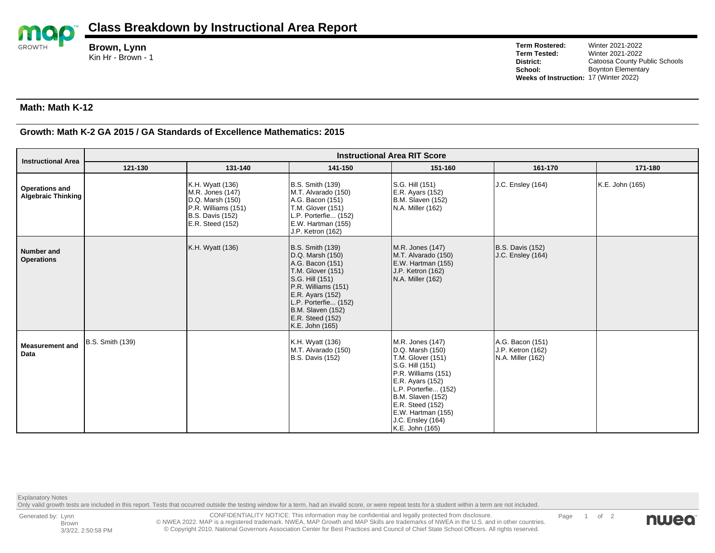

**Brown, Lynn** Kin Hr - Brown - 1

**Term Rostered:** Winter 2021-2022 **Term Tested:** Winter 2021-2022<br> **District:** Catoosa County P **District:** Catoosa County Public Schools<br> **School:** Boynton Elementary **Boynton Elementary Weeks of Instruction:** 17 (Winter 2022)

## **Math: Math K-12**

## **Growth: Math K-2 GA 2015 / GA Standards of Excellence Mathematics: 2015**

| <b>Instructional Area</b>                          | <b>Instructional Area RIT Score</b> |                                                                                                                                |                                                                                                                                                                                                                                               |                                                                                                                                                                                                                                                        |                                                            |                 |  |  |  |
|----------------------------------------------------|-------------------------------------|--------------------------------------------------------------------------------------------------------------------------------|-----------------------------------------------------------------------------------------------------------------------------------------------------------------------------------------------------------------------------------------------|--------------------------------------------------------------------------------------------------------------------------------------------------------------------------------------------------------------------------------------------------------|------------------------------------------------------------|-----------------|--|--|--|
|                                                    | 121-130                             | 131-140                                                                                                                        | 141-150                                                                                                                                                                                                                                       | 151-160                                                                                                                                                                                                                                                | 161-170                                                    | 171-180         |  |  |  |
| <b>Operations and</b><br><b>Algebraic Thinking</b> |                                     | K.H. Wyatt (136)<br>M.R. Jones (147)<br>D.Q. Marsh (150)<br>P.R. Williams (151)<br><b>B.S. Davis (152)</b><br>E.R. Steed (152) | B.S. Smith (139)<br>M.T. Alvarado (150)<br>A.G. Bacon (151)<br>T.M. Glover (151)<br>L.P. Porterfie (152)<br>E.W. Hartman (155)<br>J.P. Ketron (162)                                                                                           | S.G. Hill (151)<br>E.R. Ayars (152)<br>B.M. Slaven (152)<br>N.A. Miller (162)                                                                                                                                                                          | J.C. Ensley (164)                                          | K.E. John (165) |  |  |  |
| <b>Number and</b><br><b>Operations</b>             |                                     | K.H. Wyatt (136)                                                                                                               | <b>B.S. Smith (139)</b><br>D.Q. Marsh (150)<br>A.G. Bacon (151)<br><b>T.M. Glover (151)</b><br>S.G. Hill (151)<br>P.R. Williams (151)<br>E.R. Ayars (152)<br>L.P. Porterfie (152)<br>B.M. Slaven (152)<br>E.R. Steed (152)<br>K.E. John (165) | M.R. Jones (147)<br>M.T. Alvarado (150)<br>E.W. Hartman (155)<br>J.P. Ketron (162)<br>N.A. Miller (162)                                                                                                                                                | B.S. Davis (152)<br>J.C. Ensley (164)                      |                 |  |  |  |
| <b>Measurement and</b><br>Data                     | <b>B.S. Smith (139)</b>             |                                                                                                                                | K.H. Wyatt (136)<br>M.T. Alvarado (150)<br><b>B.S. Davis (152)</b>                                                                                                                                                                            | M.R. Jones (147)<br>D.Q. Marsh (150)<br>T.M. Glover (151)<br>S.G. Hill (151)<br>P.R. Williams (151)<br>E.R. Ayars (152)<br>L.P. Porterfie (152)<br>B.M. Slaven (152)<br>E.R. Steed (152)<br>E.W. Hartman (155)<br>J.C. Ensley (164)<br>K.E. John (165) | A.G. Bacon (151)<br>J.P. Ketron (162)<br>N.A. Miller (162) |                 |  |  |  |

Explanatory Notes

Only valid growth tests are included in this report. Tests that occurred outside the testing window for a term, had an invalid score, or were repeat tests for a student within a term are not included.

CONFIDENTIALITY NOTICE: This information may be confidential and legally protected from disclosure. © NWEA 2022. MAP is a registered trademark. NWEA, MAP Growth and MAP Skills are trademarks of NWEA in the U.S. and in other countries. © Copyright 2010. National Governors Association Center for Best Practices and Council of Chief State School Officers. All rights reserved.

Page 1 of 2

nwea